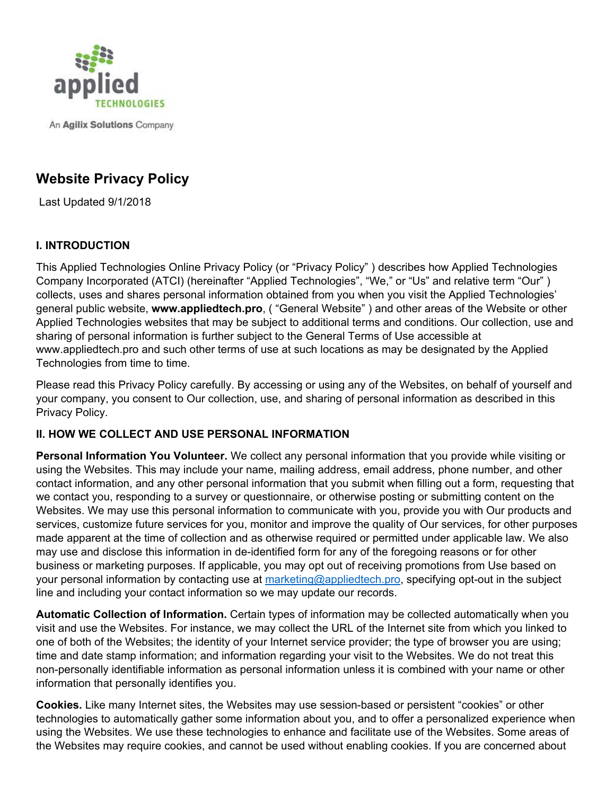

An Agilix Solutions Company

# **Website Privacy Policy**

Last Updated 9/1/2018

## **I. INTRODUCTION**

This Applied Technologies Online Privacy Policy (or "Privacy Policy" ) describes how Applied Technologies Company Incorporated (ATCI) (hereinafter "Applied Technologies", "We," or "Us" and relative term "Our" ) collects, uses and shares personal information obtained from you when you visit the Applied Technologies' general public website, **www.appliedtech.pro**, ( "General Website" ) and other areas of the Website or other Applied Technologies websites that may be subject to additional terms and conditions. Our collection, use and sharing of personal information is further subject to the General Terms of Use accessible at www.appliedtech.pro and such other terms of use at such locations as may be designated by the Applied Technologies from time to time.

Please read this Privacy Policy carefully. By accessing or using any of the Websites, on behalf of yourself and your company, you consent to Our collection, use, and sharing of personal information as described in this Privacy Policy.

## **II. HOW WE COLLECT AND USE PERSONAL INFORMATION**

**Personal Information You Volunteer.** We collect any personal information that you provide while visiting or using the Websites. This may include your name, mailing address, email address, phone number, and other contact information, and any other personal information that you submit when filling out a form, requesting that we contact you, responding to a survey or questionnaire, or otherwise posting or submitting content on the Websites. We may use this personal information to communicate with you, provide you with Our products and services, customize future services for you, monitor and improve the quality of Our services, for other purposes made apparent at the time of collection and as otherwise required or permitted under applicable law. We also may use and disclose this information in de-identified form for any of the foregoing reasons or for other business or marketing purposes. If applicable, you may opt out of receiving promotions from Use based on your personal information by contacting use at marketing@appliedtech.pro, specifying opt-out in the subject line and including your contact information so we may update our records.

**Automatic Collection of Information.** Certain types of information may be collected automatically when you visit and use the Websites. For instance, we may collect the URL of the Internet site from which you linked to one of both of the Websites; the identity of your Internet service provider; the type of browser you are using; time and date stamp information; and information regarding your visit to the Websites. We do not treat this non-personally identifiable information as personal information unless it is combined with your name or other information that personally identifies you.

**Cookies.** Like many Internet sites, the Websites may use session-based or persistent "cookies" or other technologies to automatically gather some information about you, and to offer a personalized experience when using the Websites. We use these technologies to enhance and facilitate use of the Websites. Some areas of the Websites may require cookies, and cannot be used without enabling cookies. If you are concerned about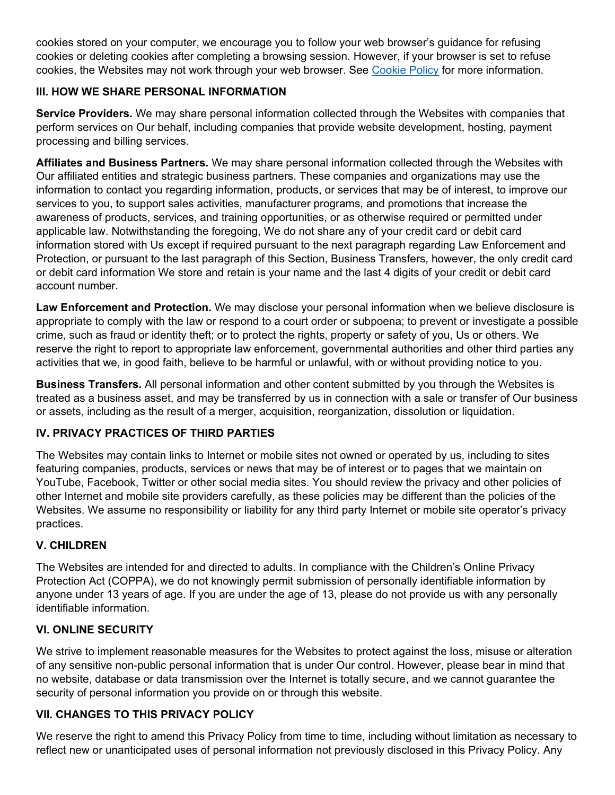cookies stored on your computer, we encourage you to follow your web browser's guidance for refusing cookies or deleting cookies after completing a browsing session. However, if your browser is set to refuse cookies, the Websites may not work through your web browser. See Cookie Policy for more information.

## **III. HOW WE SHARE PERSONAL INFORMATION**

**Service Providers.** We may share personal information collected through the Websites with companies that perform services on Our behalf, including companies that provide website development, hosting, payment processing and billing services.

**Affiliates and Business Partners.** We may share personal information collected through the Websites with Our affiliated entities and strategic business partners. These companies and organizations may use the information to contact you regarding information, products, or services that may be of interest, to improve our services to you, to support sales activities, manufacturer programs, and promotions that increase the awareness of products, services, and training opportunities, or as otherwise required or permitted under applicable law. Notwithstanding the foregoing, We do not share any of your credit card or debit card information stored with Us except if required pursuant to the next paragraph regarding Law Enforcement and Protection, or pursuant to the last paragraph of this Section, Business Transfers, however, the only credit card or debit card information We store and retain is your name and the last 4 digits of your credit or debit card account number.

**Law Enforcement and Protection.** We may disclose your personal information when we believe disclosure is appropriate to comply with the law or respond to a court order or subpoena; to prevent or investigate a possible crime, such as fraud or identity theft; or to protect the rights, property or safety of you, Us or others. We reserve the right to report to appropriate law enforcement, governmental authorities and other third parties any activities that we, in good faith, believe to be harmful or unlawful, with or without providing notice to you.

**Business Transfers.** All personal information and other content submitted by you through the Websites is treated as a business asset, and may be transferred by us in connection with a sale or transfer of Our business or assets, including as the result of a merger, acquisition, reorganization, dissolution or liquidation.

## **IV. PRIVACY PRACTICES OF THIRD PARTIES**

The Websites may contain links to Internet or mobile sites not owned or operated by us, including to sites featuring companies, products, services or news that may be of interest or to pages that we maintain on YouTube, Facebook, Twitter or other social media sites. You should review the privacy and other policies of other Internet and mobile site providers carefully, as these policies may be different than the policies of the Websites. We assume no responsibility or liability for any third party Internet or mobile site operator's privacy practices.

## **V. CHILDREN**

The Websites are intended for and directed to adults. In compliance with the Children's Online Privacy Protection Act (COPPA), we do not knowingly permit submission of personally identifiable information by anyone under 13 years of age. If you are under the age of 13, please do not provide us with any personally identifiable information.

## **VI. ONLINE SECURITY**

We strive to implement reasonable measures for the Websites to protect against the loss, misuse or alteration of any sensitive non-public personal information that is under Our control. However, please bear in mind that no website, database or data transmission over the Internet is totally secure, and we cannot guarantee the security of personal information you provide on or through this website.

## **VII. CHANGES TO THIS PRIVACY POLICY**

We reserve the right to amend this Privacy Policy from time to time, including without limitation as necessary to reflect new or unanticipated uses of personal information not previously disclosed in this Privacy Policy. Any